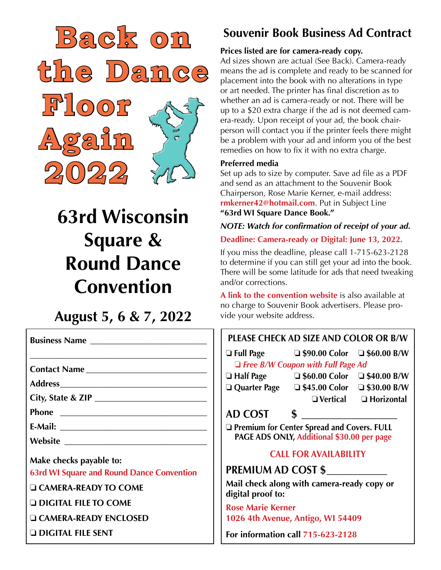

# **63rd Wisconsin Square & Round Dance Convention**

# **August 5, 6 & 7, 2022**

|                                                  | PI  |
|--------------------------------------------------|-----|
| Contact Name                                     |     |
|                                                  |     |
|                                                  |     |
|                                                  |     |
|                                                  |     |
|                                                  |     |
| Make checks payable to:                          |     |
| <b>63rd WI Square and Round Dance Convention</b> | PR  |
| $\Box$ CAMERA-READY TO COME                      | M.  |
| <b>Q DIGITAL FILE TO COME</b>                    | dis |

o **CAMERA-READY ENCLOSED** 

o **DIGITAL FILE SENT**

# **Souvenir Book Business Ad Contract**

#### **Prices listed are for camera-ready copy.**

Ad sizes shown are actual (See Back). Camera-ready means the ad is complete and ready to be scanned for placement into the book with no alterations in type or art needed. The printer has final discretion as to whether an ad is camera-ready or not. There will be up to a \$20 extra charge if the ad is not deemed camera-ready. Upon receipt of your ad, the book chairperson will contact you if the printer feels there might be a problem with your ad and inform you of the best remedies on how to fix it with no extra charge.

#### **Preferred media**

Set up ads to size by computer. Save ad file as a PDF and send as an attachment to the Souvenir Book Chairperson, Rose Marie Kerner, e-mail address: **rmkerner42@hotmail.com**. Put in Subject Line **"63rd WI Square Dance Book."**

*NOTE: Watch for confirmation of receipt of your ad.* **Deadline: Camera-ready or Digital: June 13, 2022.**

If you miss the deadline, please call 1-715-623-2128 to determine if you can still get your ad into the book. There will be some latitude for ads that need tweaking and/or corrections.

**A link to the convention website** is also available at no charge to Souvenir Book advertisers. Please provide your website address.

### **FASE CHECK AD SIZE AND COLOR OR B/W**

| $\Box$ Full Page | $\square$ \$90.00 Color                  | $\Box$ \$60.00 B/W |
|------------------|------------------------------------------|--------------------|
|                  | $\Box$ Free B/W Coupon with Full Page Ad |                    |

- 
- o **Half Page** o **\$60.00 Color** o **\$40.00 B/W** o **Quarter Page** o **\$45.00 Color** o **\$30.00 B/W**

o **Vertical** o **Horizontal**

## **D COST**

o **Premium for Center Spread and Covers. FULL PAGE ADS ONLY, Additional \$30.00 per page**

### **CALL FOR AVAILABILITY**

**PREMIUM AD COST \$\_\_\_\_\_\_\_\_\_\_\_\_ Mail check along with camera-ready copy or** 

**digital proof to:**

**Rose Marie Kerner 1026 4th Avenue, Antigo, WI 54409**

**For information call 715-623-2128**